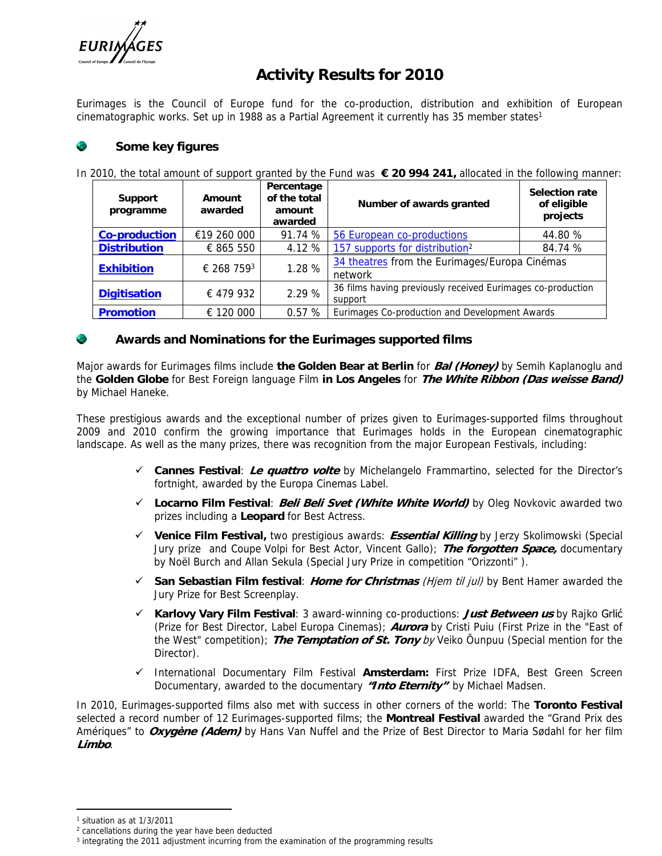

## **Activity Results for 2010**

Eurimages is the Council of Europe fund for the co-production, distribution and exhibition of European cinematographic works. Set up in 1988 as a Partial Agreement it currently has [35 member states](http://www.coe.int/t/dg4/eurimages/About/MemberStates_en.asp)<sup>1</sup>

## **Some key figures**

In 2010, the total amount of support granted by the Fund was **€ 20 994 241,** allocated in the following manner:

| Support<br>programme | Amount<br>awarded | Percentage<br>of the total<br>amount<br>awarded | Number of awards granted                                               | Selection rate<br>of eligible<br>projects |
|----------------------|-------------------|-------------------------------------------------|------------------------------------------------------------------------|-------------------------------------------|
| Co-production        | €19 260 000       | 91.74 %                                         | 56 European co-productions                                             | 44.80 %                                   |
| <b>Distribution</b>  | € 865 550         | 4.12 %                                          | 157 supports for distribution <sup>2</sup>                             | 84.74 %                                   |
| Exhibition           | € 268 7593        | 1.28 %                                          | 34 theatres from the Eurimages/Europa Cinémas<br>network               |                                           |
| Digitisation         | € 479 932         | 2.29 %                                          | 36 films having previously received Eurimages co-production<br>support |                                           |
| Promotion            | € 120 000         | 0.57%                                           | Eurimages Co-production and Development Awards                         |                                           |



**Awards and Nominations for the Eurimages supported films**

Major awards for Eurimages films include **the Golden Bear at Berlin** for *Bal (Honey)* by Semih Kaplanoglu and the **Golden Globe** for Best Foreign language Film **in Los Angeles** for *The White Ribbon (Das weisse Band)* by Michael Haneke.

These prestigious awards and the exceptional number of prizes given to Eurimages-supported films throughout 2009 and 2010 confirm the growing importance that Eurimages holds in the European cinematographic landscape. As well as the many prizes, there was recognition from the major European Festivals, including:

- **Cannes Festival**: *Le quattro volte* by Michelangelo Frammartino, selected for the Director's fortnight, awarded by the Europa Cinemas Label.
- **Locarno Film Festival**: *Beli Beli Svet (White White World)* by Oleg Novkovic awarded two prizes including a **Leopard** for Best Actress.
- **Venice Film Festival,** two prestigious awards: *Essential Killing* by Jerzy Skolimowski (Special Jury prize and Coupe Volpi for Best Actor, Vincent Gallo); *The forgotten Space,* documentary by Noël Burch and Allan Sekula (Special Jury Prize in competition "Orizzonti" ).
- **San Sebastian Film festival**: *Home for Christmas (Hjem til jul)* by Bent Hamer awarded the Jury Prize for Best Screenplay.
- **Karlovy Vary Film Festival**: 3 award-winning co-productions: *Just Between us* by Rajko Grlić (Prize for Best Director, Label Europa Cinemas); *Aurora* by Cristi Puiu (First Prize in the "East of the West" competition); *The Temptation of St. Tony by* Veiko Õunpuu (Special mention for the Director).
- International Documentary Film Festival **Amsterdam:** First Prize IDFA, Best Green Screen Documentary, awarded to the documentary *"Into Eternity"* by Michael Madsen.

In 2010, Eurimages-supported films also met with success in other corners of the world: The **Toronto Festival**  selected a record number of 12 Eurimages-supported films; the **Montreal Festival** awarded the "Grand Prix des Amériques" to *Oxygène (Adem)* by Hans Van Nuffel and the Prize of Best Director to Maria Sødahl for her film *Limbo*.

<sup>1</sup> situation as at 1/3/2011

<sup>&</sup>lt;sup>2</sup> cancellations during the year have been deducted

<sup>&</sup>lt;sup>3</sup> integrating the 2011 adjustment incurring from the examination of the programming results